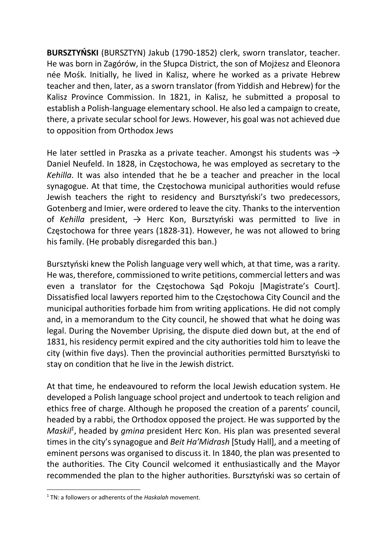BURSZTYŃSKI (BURSZTYN) Jakub (1790-1852) clerk, sworn translator, teacher. He was born in Zagórów, in the Słupca District, the son of Mojżesz and Eleonora née Mośk. Initially, he lived in Kalisz, where he worked as a private Hebrew teacher and then, later, as a sworn translator (from Yiddish and Hebrew) for the Kalisz Province Commission. In 1821, in Kalisz, he submitted a proposal to establish a Polish-language elementary school. He also led a campaign to create, there, a private secular school for Jews. However, his goal was not achieved due to opposition from Orthodox Jews

He later settled in Praszka as a private teacher. Amongst his students was  $\rightarrow$ Daniel Neufeld. In 1828, in Częstochowa, he was employed as secretary to the Kehilla. It was also intended that he be a teacher and preacher in the local synagogue. At that time, the Częstochowa municipal authorities would refuse Jewish teachers the right to residency and Bursztyński's two predecessors, Gotenberg and Imier, were ordered to leave the city. Thanks to the intervention of Kehilla president,  $\rightarrow$  Herc Kon, Bursztyński was permitted to live in Częstochowa for three years (1828-31). However, he was not allowed to bring his family. (He probably disregarded this ban.)

Bursztyński knew the Polish language very well which, at that time, was a rarity. He was, therefore, commissioned to write petitions, commercial letters and was even a translator for the Częstochowa Sąd Pokoju [Magistrate's Court]. Dissatisfied local lawyers reported him to the Częstochowa City Council and the municipal authorities forbade him from writing applications. He did not comply and, in a memorandum to the City council, he showed that what he doing was legal. During the November Uprising, the dispute died down but, at the end of 1831, his residency permit expired and the city authorities told him to leave the city (within five days). Then the provincial authorities permitted Bursztyński to stay on condition that he live in the Jewish district.

At that time, he endeavoured to reform the local Jewish education system. He developed a Polish language school project and undertook to teach religion and ethics free of charge. Although he proposed the creation of a parents' council, headed by a rabbi, the Orthodox opposed the project. He was supported by the Maskil<sup>1</sup>, headed by gmina president Herc Kon. His plan was presented several times in the city's synagogue and Beit Ha'Midrash [Study Hall], and a meeting of eminent persons was organised to discuss it. In 1840, the plan was presented to the authorities. The City Council welcomed it enthusiastically and the Mayor recommended the plan to the higher authorities. Bursztyński was so certain of

<sup>&</sup>lt;sup>1</sup> TN: a followers or adherents of the Haskalah movement.